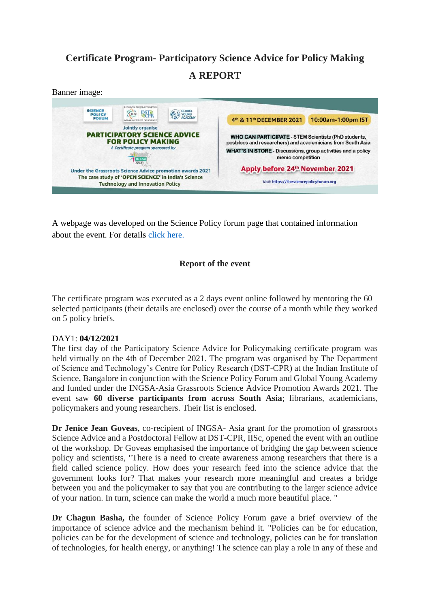# **Certificate Program- Participatory Science Advice for Policy Making A REPORT**

#### Banner image:



A webpage was developed on the Science Policy forum page that contained information about the event. For details [click here.](https://thesciencepolicyforum.org/event/participatory-science-advice-for-policy-making/)

# **Report of the event**

The certificate program was executed as a 2 days event online followed by mentoring the 60 selected participants (their details are enclosed) over the course of a month while they worked on 5 policy briefs.

## DAY1: **04/12/2021**

The first day of the Participatory Science Advice for Policymaking certificate program was held virtually on the 4th of December 2021. The program was organised by The Department of Science and Technology's Centre for Policy Research (DST-CPR) at the Indian Institute of Science, Bangalore in conjunction with the Science Policy Forum and Global Young Academy and funded under the INGSA-Asia Grassroots Science Advice Promotion Awards 2021. The event saw **60 diverse participants from across South Asia**; librarians, academicians, policymakers and young researchers. Their list is enclosed.

**Dr Jenice Jean Goveas**, co-recipient of INGSA- Asia grant for the promotion of grassroots Science Advice and a Postdoctoral Fellow at DST-CPR, IISc, opened the event with an outline of the workshop. Dr Goveas emphasised the importance of bridging the gap between science policy and scientists, "There is a need to create awareness among researchers that there is a field called science policy. How does your research feed into the science advice that the government looks for? That makes your research more meaningful and creates a bridge between you and the policymaker to say that you are contributing to the larger science advice of your nation. In turn, science can make the world a much more beautiful place. "

**Dr Chagun Basha,** the founder of Science Policy Forum gave a brief overview of the importance of science advice and the mechanism behind it. "Policies can be for education, policies can be for the development of science and technology, policies can be for translation of technologies, for health energy, or anything! The science can play a role in any of these and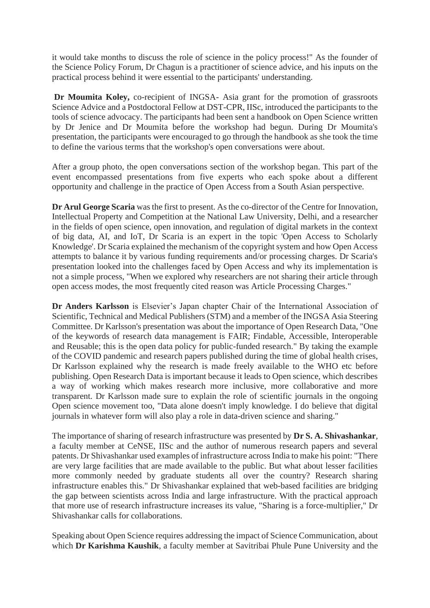it would take months to discuss the role of science in the policy process!" As the founder of the Science Policy Forum, Dr Chagun is a practitioner of science advice, and his inputs on the practical process behind it were essential to the participants' understanding.

**Dr Moumita Koley,** co-recipient of INGSA- Asia grant for the promotion of grassroots Science Advice and a Postdoctoral Fellow at DST-CPR, IISc, introduced the participants to the tools of science advocacy. The participants had been sent a handbook on Open Science written by Dr Jenice and Dr Moumita before the workshop had begun. During Dr Moumita's presentation, the participants were encouraged to go through the handbook as she took the time to define the various terms that the workshop's open conversations were about.

After a group photo, the open conversations section of the workshop began. This part of the event encompassed presentations from five experts who each spoke about a different opportunity and challenge in the practice of Open Access from a South Asian perspective.

**Dr Arul George Scaria** was the first to present. As the co-director of the Centre for Innovation, Intellectual Property and Competition at the National Law University, Delhi, and a researcher in the fields of open science, open innovation, and regulation of digital markets in the context of big data, AI, and IoT, Dr Scaria is an expert in the topic 'Open Access to Scholarly Knowledge'. Dr Scaria explained the mechanism of the copyright system and how Open Access attempts to balance it by various funding requirements and/or processing charges. Dr Scaria's presentation looked into the challenges faced by Open Access and why its implementation is not a simple process, "When we explored why researchers are not sharing their article through open access modes, the most frequently cited reason was Article Processing Charges."

**Dr Anders Karlsson** is Elsevier's Japan chapter Chair of the International Association of Scientific, Technical and Medical Publishers (STM) and a member of the INGSA Asia Steering Committee. Dr Karlsson's presentation was about the importance of Open Research Data, "One of the keywords of research data management is FAIR; Findable, Accessible, Interoperable and Reusable; this is the open data policy for public-funded research." By taking the example of the COVID pandemic and research papers published during the time of global health crises, Dr Karlsson explained why the research is made freely available to the WHO etc before publishing. Open Research Data is important because it leads to Open science, which describes a way of working which makes research more inclusive, more collaborative and more transparent. Dr Karlsson made sure to explain the role of scientific journals in the ongoing Open science movement too, "Data alone doesn't imply knowledge. I do believe that digital journals in whatever form will also play a role in data-driven science and sharing."

The importance of sharing of research infrastructure was presented by **Dr S. A. Shivashankar**, a faculty member at CeNSE, IISc and the author of numerous research papers and several patents. Dr Shivashankar used examples of infrastructure across India to make his point: "There are very large facilities that are made available to the public. But what about lesser facilities more commonly needed by graduate students all over the country? Research sharing infrastructure enables this." Dr Shivashankar explained that web-based facilities are bridging the gap between scientists across India and large infrastructure. With the practical approach that more use of research infrastructure increases its value, "Sharing is a force-multiplier," Dr Shivashankar calls for collaborations.

Speaking about Open Science requires addressing the impact of Science Communication, about which **Dr Karishma Kaushik**, a faculty member at Savitribai Phule Pune University and the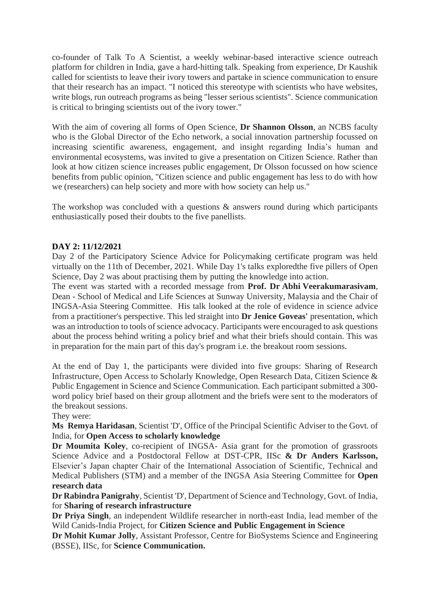co-founder of Talk To A Scientist, a weekly webinar-based interactive science outreach platform for children in India, gave a hard-hitting talk. Speaking from experience, Dr Kaushik called for scientists to leave their ivory towers and partake in science communication to ensure that their research has an impact. "I noticed this stereotype with scientists who have websites, write blogs, run outreach programs as being "lesser serious scientists". Science communication is critical to bringing scientists out of the ivory tower."

With the aim of covering all forms of Open Science, **Dr Shannon Olsson**, an NCBS faculty who is the Global Director of the Echo network, a social innovation partnership focussed on increasing scientific awareness, engagement, and insight regarding India's human and environmental ecosystems, was invited to give a presentation on Citizen Science. Rather than look at how citizen science increases public engagement, Dr Olsson focussed on how science benefits from public opinion, "Citizen science and public engagement has less to do with how we (researchers) can help society and more with how society can help us."

The workshop was concluded with a questions  $\&$  answers round during which participants enthusiastically posed their doubts to the five panellists.

#### **DAY 2: 11/12/2021**

Day 2 of the Participatory Science Advice for Policymaking certificate program was held virtually on the 11th of December, 2021. While Day 1's talks exploredthe five pillers of Open Science, Day 2 was about practising them by putting the knowledge into action.

The event was started with a recorded message from **Prof. Dr Abhi Veerakumarasivam**, Dean - School of Medical and Life Sciences at Sunway University, Malaysia and the Chair of INGSA-Asia Steering Committee. His talk looked at the role of evidence in science advice from a practitioner's perspective. This led straight into **Dr Jenice Goveas'** presentation, which was an introduction to tools of science advocacy. Participants were encouraged to ask questions about the process behind writing a policy brief and what their briefs should contain. This was in preparation for the main part of this day's program i.e. the breakout room sessions.

At the end of Day 1, the participants were divided into five groups: Sharing of Research Infrastructure, Open Access to Scholarly Knowledge, Open Research Data, Citizen Science & Public Engagement in Science and Science Communication. Each participant submitted a 300 word policy brief based on their group allotment and the briefs were sent to the moderators of the breakout sessions.

#### They were:

**Ms Remya Haridasan**, Scientist 'D', Office of the Principal Scientific Adviser to the Govt. of India, for **Open Access to scholarly knowledge**

**Dr Moumita Koley**, co-recipient of INGSA- Asia grant for the promotion of grassroots Science Advice and a Postdoctoral Fellow at DST-CPR, IISc **& Dr Anders Karlsson,** Elsevier's Japan chapter Chair of the International Association of Scientific, Technical and Medical Publishers (STM) and a member of the INGSA Asia Steering Committee for **Open research data**

**Dr Rabindra Panigrahy**, Scientist 'D', Department of Science and Technology, Govt. of India, for **Sharing of research infrastructure**

**Dr Priya Singh**, an independent Wildlife researcher in north-east India, lead member of the Wild Canids-India Project, for **Citizen Science and Public Engagement in Science**

**Dr Mohit Kumar Jolly**, Assistant Professor, Centre for BioSystems Science and Engineering (BSSE), IISc, for **Science Communication.**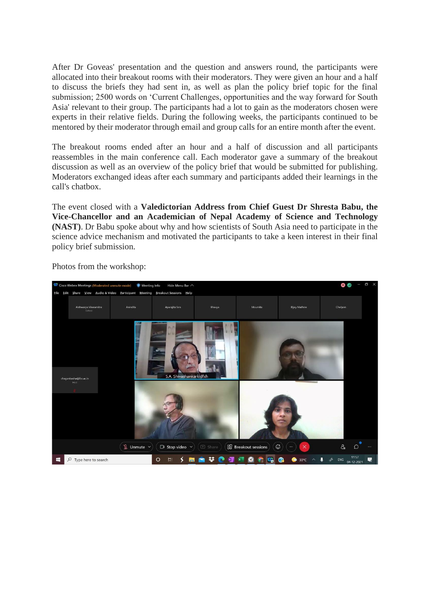After Dr Goveas' presentation and the question and answers round, the participants were allocated into their breakout rooms with their moderators. They were given an hour and a half to discuss the briefs they had sent in, as well as plan the policy brief topic for the final submission; 2500 words on 'Current Challenges, opportunities and the way forward for South Asia' relevant to their group. The participants had a lot to gain as the moderators chosen were experts in their relative fields. During the following weeks, the participants continued to be mentored by their moderator through email and group calls for an entire month after the event.

The breakout rooms ended after an hour and a half of discussion and all participants reassembles in the main conference call. Each moderator gave a summary of the breakout discussion as well as an overview of the policy brief that would be submitted for publishing. Moderators exchanged ideas after each summary and participants added their learnings in the call's chatbox.

The event closed with a **Valedictorian Address from Chief Guest Dr Shresta Babu, the Vice-Chancellor and an Academician of Nepal Academy of Science and Technology (NAST)**. Dr Babu spoke about why and how scientists of South Asia need to participate in the science advice mechanism and motivated the participants to take a keen interest in their final policy brief submission.



Photos from the workshop: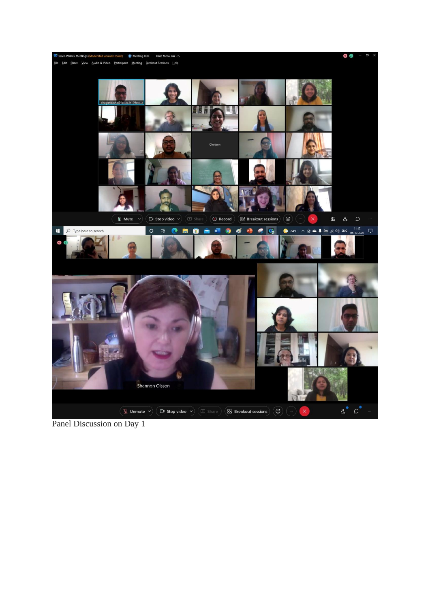

Panel Discussion on Day 1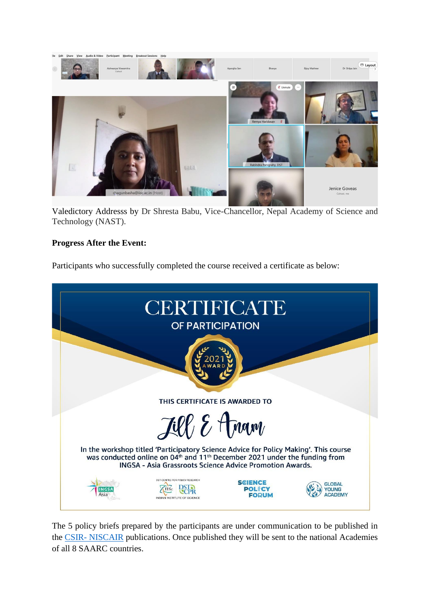

Valedictory Addresss by Dr Shresta Babu, Vice-Chancellor, Nepal Academy of Science and Technology (NAST).

## **Progress After the Event:**

Participants who successfully completed the course received a certificate as below:



The 5 policy briefs prepared by the participants are under communication to be published in the CSIR- [NISCAIR](http://www.niscair.res.in/periodicals/researchjournals) publications. Once published they will be sent to the national Academies of all 8 SAARC countries.